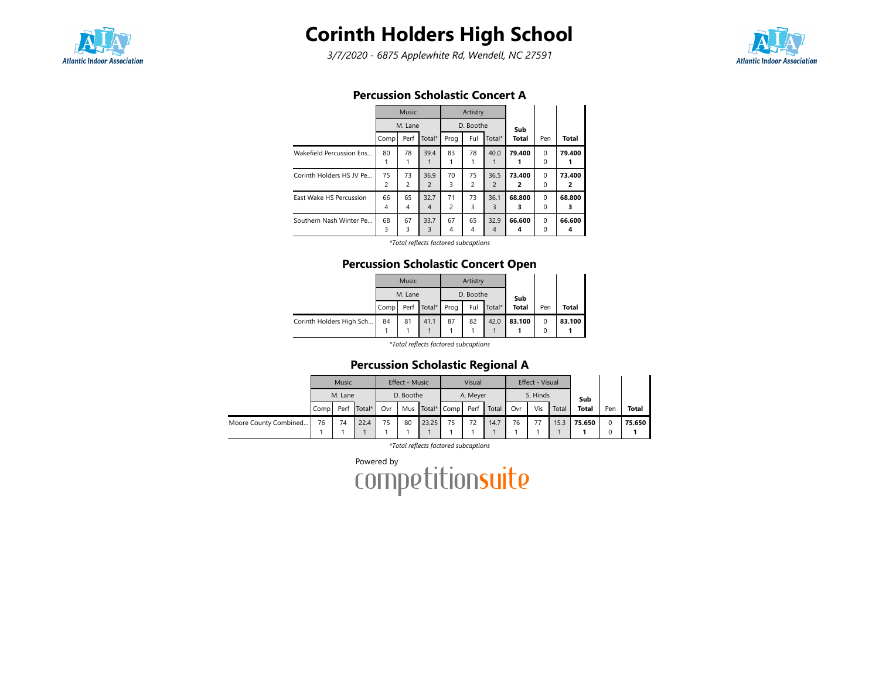

3/7/2020 - 6875 Applewhite Rd, Wendell, NC 27591



|                          | Percussion Scholastic Concert A |              |                        |         |           |                        |              |                      |             |
|--------------------------|---------------------------------|--------------|------------------------|---------|-----------|------------------------|--------------|----------------------|-------------|
|                          |                                 | <b>Music</b> |                        |         | Artistry  |                        |              |                      |             |
|                          |                                 | M. Lane      |                        |         | D. Boothe |                        | Sub          |                      |             |
|                          | Comp                            | Perf         | Total*                 | Prog    | Ful       | Total*                 | <b>Total</b> | Pen                  | Total       |
| Wakefield Percussion Ens | 80                              | 78           | 39.4                   | 83      | 78        | 40.0                   | 79.400       | $\Omega$<br>0        | 79.400      |
| Corinth Holders HS JV Pe | 75<br>$\overline{c}$            | 73<br>2      | 36.9<br>$\overline{2}$ | 70<br>3 | 75<br>2   | 36.5<br>$\overline{2}$ | 73.400<br>2  | $\Omega$<br>$\Omega$ | 73.400<br>2 |
| East Wake HS Percussion  | 66<br>4                         | 65<br>4      | 32.7<br>$\overline{4}$ | 71<br>2 | 73<br>3   | 36.1<br>3              | 68.800<br>з  | $\Omega$<br>$\Omega$ | 68.800<br>з |
| Southern Nash Winter Pe  | 68<br>3                         | 67<br>3      | 33.7<br>3              | 67<br>4 | 65<br>4   | 32.9<br>$\overline{4}$ | 66.600<br>4  | $\Omega$<br>0        | 66.600<br>4 |

#### Percussion Scholastic Concert A

\*Total reflects factored subcaptions

#### Percussion Scholastic Concert Open

|                          |      | <b>Music</b> |                  |    | Artistry  |        |              |        |        |
|--------------------------|------|--------------|------------------|----|-----------|--------|--------------|--------|--------|
|                          |      | M. Lane      |                  |    | D. Boothe |        | Sub          |        |        |
|                          | Comp |              | Perf Total* Prog |    | Ful       | Total* | <b>Total</b> | Pen    | Total  |
| Corinth Holders High Sch | 84   | 81           | 41.1             | 87 | 82        | 42.0   | 83.100       | 0<br>0 | 83.100 |

\*Total reflects factored subcaptions

#### Percussion Scholastic Regional A

|                       |      | Music   |        |     | <b>Effect - Music</b> |       |                      | Visual   |       |     | Effect - Visual |       |              |     |              |
|-----------------------|------|---------|--------|-----|-----------------------|-------|----------------------|----------|-------|-----|-----------------|-------|--------------|-----|--------------|
|                       |      | M. Lane |        |     | D. Boothe             |       |                      | A. Meyer |       |     | S. Hinds        |       | Sub          |     |              |
|                       | Comp | Perf    | Total* | Ovr |                       |       | Mus Total* Comp Perf |          | Total | Ovr | Vis             | Total | <b>Total</b> | Pen | <b>Total</b> |
| Moore County Combined | 76   | 74      | 22.4   | 75  | 80                    | 23.25 | 75                   | 72       | 14.7  | 76  | 77              | 15.3  | 75.650       |     | 75.650       |
|                       |      |         |        |     |                       |       |                      |          |       |     |                 |       |              |     |              |

\*Total reflects factored subcaptions

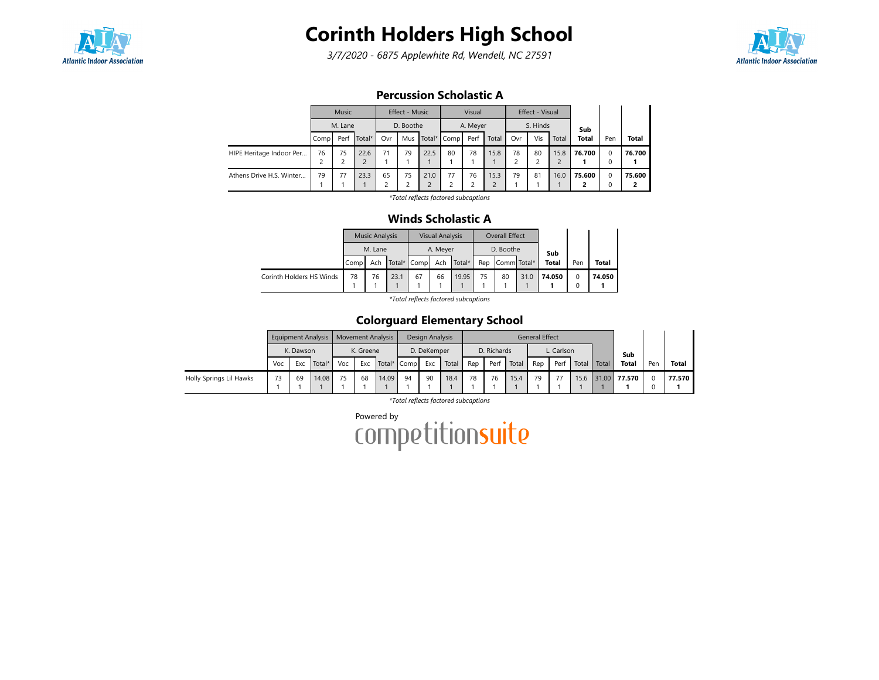

3/7/2020 - 6875 Applewhite Rd, Wendell, NC 27591



### Percussion Scholastic A

|                          |      | <b>Music</b>                                   |      |                     | Effect - Music |                        |             | Visual   |       |     | Effect - Visual |       |              |          |              |
|--------------------------|------|------------------------------------------------|------|---------------------|----------------|------------------------|-------------|----------|-------|-----|-----------------|-------|--------------|----------|--------------|
|                          |      |                                                |      |                     | D. Boothe      |                        |             | A. Meyer |       |     | S. Hinds        |       | Sub          |          |              |
|                          | Comp | M. Lane<br>Total*<br>Ovr<br>Perf<br>75<br>22.6 |      |                     | Mus            |                        | Total* Comp | Perf     | Total | Ovr | Vis             | Total | <b>Total</b> | Pen      | <b>Total</b> |
| HIPE Heritage Indoor Per | 76   |                                                |      | 71                  | 79             | 22.5                   | 80          | 78       | 15.8  | 78  | 80              | 15.8  | 76.700       | $\Omega$ | 76.700       |
|                          |      |                                                |      |                     |                |                        |             |          |       |     |                 |       |              | 0        |              |
| Athens Drive H.S. Winter | 79   | 77                                             | 23.3 | 65<br>$\mathcal{D}$ | 75<br>っ        | 21.0<br>$\overline{c}$ | 77          | 76       | 15.3  | 79  | 81              | 16.0  | 75.600       | $\Omega$ | 75.600       |
|                          |      |                                                |      | ے                   |                |                        |             |          |       |     |                 |       |              | 0        |              |

\*Total reflects factored subcaptions

#### Winds Scholastic A

|                          |                   | <b>Music Analysis</b> |      |             | <b>Visual Analysis</b> |        |     | Overall Effect |      |              |                  |        |
|--------------------------|-------------------|-----------------------|------|-------------|------------------------|--------|-----|----------------|------|--------------|------------------|--------|
|                          |                   | M. Lane               |      |             | A. Meyer               |        |     | D. Boothe      |      | Sub          |                  |        |
|                          | Comp <sup>1</sup> | Ach                   |      | Total* Comp | Ach                    | Total* | Rep | Comm Total*    |      | <b>Total</b> | Pen              | Total  |
| Corinth Holders HS Winds | 78                | 76                    | 23.1 | 67          | 66                     | 19.95  | 75  | 80             | 31.0 | 74.050       | $\mathbf 0$<br>0 | 74.050 |

\*Total reflects factored subcaptions

## Colorguard Elementary School

|                         |     |           | Equipment Analysis   Movement Analysis |     |           |       |             | Design Analysis |       |     |             |       | <b>General Effect</b> |            |       |       |              |     |        |
|-------------------------|-----|-----------|----------------------------------------|-----|-----------|-------|-------------|-----------------|-------|-----|-------------|-------|-----------------------|------------|-------|-------|--------------|-----|--------|
|                         |     | K. Dawson |                                        |     | K. Greene |       |             | D. DeKemper     |       |     | D. Richards |       |                       | L. Carlson |       |       | Sub          |     |        |
|                         | Voc | Exc       | Total*                                 | Voc | Exc       |       | Total* Comp | Exc             | Total | Rep | Perf        | Total | Rep                   | Perf       | Total | Total | <b>Total</b> | Pen | Total  |
| Holly Springs Lil Hawks | 73  | 69        | 14.08                                  | 75  | 68        | 14.09 | 94          | 90              | 18.4  | 78  | 76          | 15.4  | 79                    |            | 15.6  |       | 31.00 77.570 |     | 77.570 |
|                         |     |           |                                        |     |           |       |             |                 |       |     |             |       |                       |            |       |       |              |     |        |

\*Total reflects factored subcaptions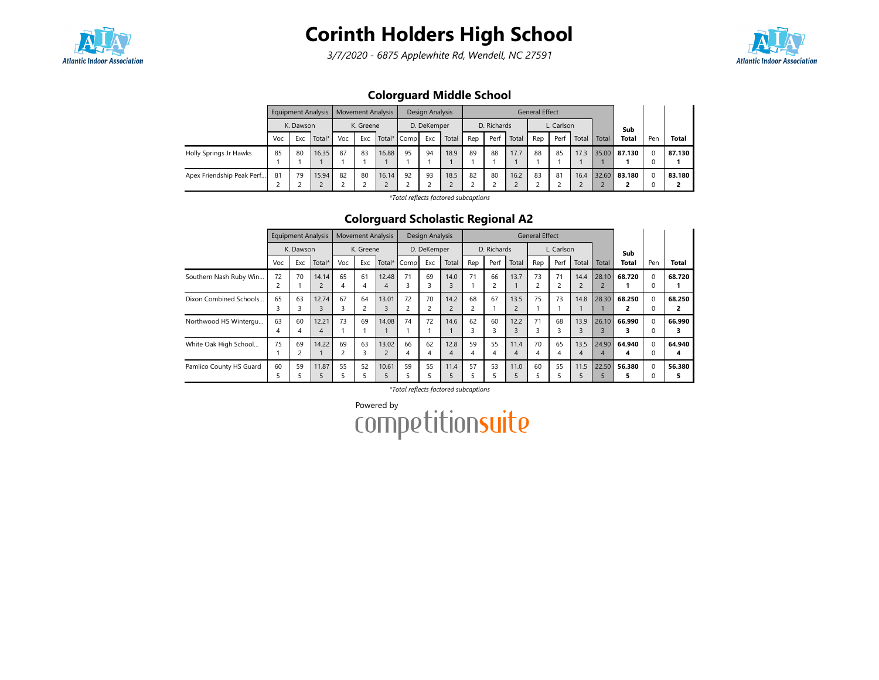

3/7/2020 - 6875 Applewhite Rd, Wendell, NC 27591



## Colorguard Middle School

|                           |     |                            | <b>Equipment Analysis</b> |     |           | <b>Movement Analysis</b> |    | Design Analysis |       |     |             |       | <b>General Effect</b> |            |       |       |              |     |              |
|---------------------------|-----|----------------------------|---------------------------|-----|-----------|--------------------------|----|-----------------|-------|-----|-------------|-------|-----------------------|------------|-------|-------|--------------|-----|--------------|
|                           |     | K. Dawson<br>Exc<br>Total* |                           |     | K. Greene |                          |    | D. DeKemper     |       |     | D. Richards |       |                       | L. Carlson |       |       | Sub          |     |              |
|                           | Voc |                            |                           | Voc | Exc       | Total* Comp              |    | Exc             | Total | Rep | Perf        | Total | Rep                   | Perf       | Total | Total | <b>Total</b> | Pen | <b>Total</b> |
| Holly Springs Jr Hawks    | 85  | 80                         | 16.35                     | 87  | 83        | 16.88                    | 95 | 94              | 18.9  | 89  | 88          | 17.7  | 88                    | 85         | 17.3  |       | 35.00 87.130 |     | 87.130       |
| Apex Friendship Peak Perf | -81 | 79                         | 15.94                     | 82  | 80        | 16.14                    | 92 | 93              | 18.5  | 82  | 80          | 16.2  | 83                    | 81         | 16.4  |       | 32.60 83.180 |     | 83.180       |

\*Total reflects factored subcaptions

### Colorguard Scholastic Regional A2

|                         |         | <b>Equipment Analysis</b> |                         |         | <b>Movement Analysis</b>      |                         |         | Design Analysis |                        |         |                      |                        | <b>General Effect</b> |                      |                        |                         |             |               |              |
|-------------------------|---------|---------------------------|-------------------------|---------|-------------------------------|-------------------------|---------|-----------------|------------------------|---------|----------------------|------------------------|-----------------------|----------------------|------------------------|-------------------------|-------------|---------------|--------------|
|                         |         | K. Dawson                 |                         |         | K. Greene                     |                         |         | D. DeKemper     |                        |         | D. Richards          |                        |                       | L. Carlson           |                        |                         | Sub         |               |              |
|                         | Voc     | Exc                       | Total*                  | Voc     | Exc                           | Total*                  | Comp    | Exc             | Total                  | Rep     | Perf                 | Total                  | Rep                   | Perf                 | Total                  | Total                   | Total       | Pen           | Total        |
| Southern Nash Ruby Win  | 72<br>2 | 70                        | 14.14<br>$\overline{c}$ | 65<br>4 | 61<br>4                       | 12.48<br>4              | 71      | 69<br>3         | 14.0<br>3              | 71      | 66<br>$\overline{c}$ | 13.7                   | 73                    | 71<br>$\overline{c}$ | 14.4<br>$\overline{2}$ | 28.10<br>$\overline{c}$ | 68.720      | 0<br>$\Omega$ | 68.720       |
| Dixon Combined Schools  | 65      | 63<br>3                   | 12.74<br>3              | 67      | 64<br>$\overline{\mathbf{c}}$ | 13.01<br>$\overline{3}$ | 72      | 70              | 14.2<br>$\overline{2}$ | 68<br>2 | 67                   | 13.5                   | 75                    | 73                   | 14.8                   | 28.30                   | 68.250      | $\Omega$<br>0 | 68.250       |
| Northwood HS Wintergu   | 63<br>4 | 60<br>4                   | 12.21<br>4              | 73      | 69                            | 14.08                   | 74      | 72              | 14.6                   | 62<br>3 | 60<br>3              | 12.2<br>3              | 71                    | 68<br>3              | 13.9<br>3              | 26.10<br>3              | 66.990      | $\Omega$<br>0 | 66.990       |
| White Oak High School   | 75      | 69<br>∍                   | 14.22                   | 69<br>2 | 63<br>3                       | 13.02                   | 66<br>4 | 62<br>4         | 12.8<br>4              | 59<br>4 | 55<br>4              | 11.4<br>$\overline{4}$ | 70<br>4               | 65<br>4              | 13.5<br>4              | 24.90<br>4              | 64.940<br>4 | $\Omega$<br>0 | 64.940<br>4  |
| Pamlico County HS Guard | 60      | 59                        | 11.87<br>b              | 55      | 52<br>5                       | 10.61                   | 59      | 55              | 11.4                   | 57      | 53                   | 11.0                   | 60                    | 55                   | 11.5<br>5              | 22.50                   | 56.380      | $\Omega$      | 56.380<br>5. |

\*Total reflects factored subcaptions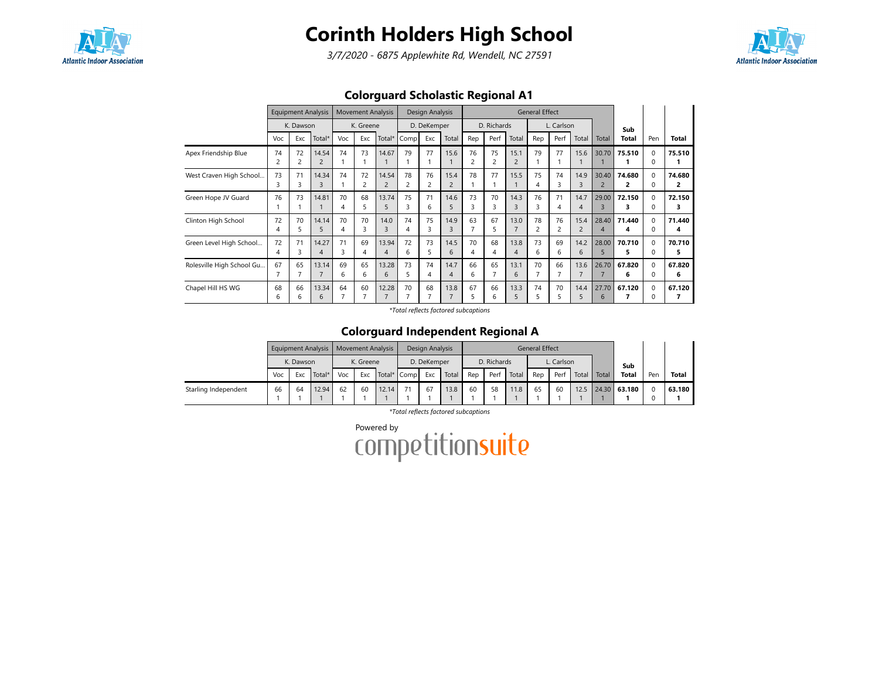

3/7/2020 - 6875 Applewhite Rd, Wendell, NC 27591



## Colorguard Scholastic Regional A1

|                           |         | <b>Equipment Analysis</b> |                         |         | <b>Movement Analysis</b> |                         |                      | Design Analysis |                        |                      |             |                        | <b>General Effect</b> |            |                        |                           |              |                      |              |
|---------------------------|---------|---------------------------|-------------------------|---------|--------------------------|-------------------------|----------------------|-----------------|------------------------|----------------------|-------------|------------------------|-----------------------|------------|------------------------|---------------------------|--------------|----------------------|--------------|
|                           |         | K. Dawson                 |                         |         | K. Greene                |                         |                      | D. DeKemper     |                        |                      | D. Richards |                        |                       | L. Carlson |                        |                           | Sub          |                      |              |
|                           | Voc     | Exc                       | Total*                  | Voc     | Exc                      | Total*                  | Comp                 | Exc             | Total                  | Rep                  | Perf        | Total                  | Rep                   | Perf       | Total                  | Total                     | Total        | Pen                  | <b>Total</b> |
| Apex Friendship Blue      | 74<br>2 | 72                        | 14.54<br>$\overline{2}$ | 74      | 73                       | 14.67                   | 79                   | 77              | 15.6                   | 76<br>$\overline{c}$ | 75<br>2     | 15.1<br>$\overline{2}$ | 79                    | 77         | 15.6                   | 30.70                     | 75.510       | $\Omega$<br>0        | 75.510       |
| West Craven High School   | 73<br>3 | 71                        | 14.34<br>3              | 74      | 72<br>2                  | 14.54<br>2              | 78<br>$\overline{2}$ | 76              | 15.4<br>2              | 78                   | 77          | 15.5                   | 75<br>4               | 74         | 14.9<br>3              | 30.40<br>2                | 74.680<br>2  | $\Omega$<br>0        | 74.680<br>2  |
| Green Hope JV Guard       | 76      | 73                        | 14.81                   | 70<br>4 | 68<br>5                  | 13.74<br>5              | 75<br>3              | 71<br>6         | 14.6<br>5              | 73<br>3              | 70<br>3     | 14.3<br>3              | 76<br>З               | 71<br>4    | 14.7<br>4              | 29.00<br>3                | 72.150       | $\Omega$<br>$\Omega$ | 72.150<br>3  |
| Clinton High School       | 72<br>4 | 70<br>5.                  | 14.14<br>5              | 70<br>4 | 70<br>3                  | 14.0<br>ξ               | 74<br>4              | 75<br>3         | 14.9<br>3              | 63<br>$\overline{7}$ | 67<br>5     | 13.0<br>$\overline{7}$ | 78<br>$\overline{c}$  | 76         | 15.4<br>$\overline{2}$ | 28.40<br>$\boldsymbol{A}$ | 71.440<br>4  | $\Omega$<br>$\Omega$ | 71.440<br>4  |
| Green Level High School   | 72<br>4 | 71                        | 14.27<br>4              | 71<br>3 | 69<br>4                  | 13.94<br>$\overline{4}$ | 72<br>6              | 73<br>5.        | 14.5<br>6              | 70<br>4              | 68<br>4     | 13.8<br>$\overline{4}$ | 73<br>6               | 69<br>6    | 14.2<br>6              | 28.00<br>5                | 70.710<br>5. | $\Omega$<br>0        | 70.710<br>5  |
| Rolesville High School Gu | 67      | 65                        | 13.14<br>7              | 69<br>6 | 65<br>6                  | 13.28<br>6              | 73<br>5              | 74              | 14.7<br>4              | 66<br>6              | 65          | 13.1<br>6              | 70                    | 66         | 13.6                   | 26.70                     | 67.820<br>6  | $\Omega$<br>$\Omega$ | 67.820<br>6  |
| Chapel Hill HS WG         | 68<br>6 | 66                        | 13.34<br>6              | 64      | 60                       | 12.28<br>$\overline{7}$ | 70                   | 68              | 13.8<br>$\overline{ }$ | 67<br>5              | 66<br>6     | 13.3<br>5              | 74<br>5               | 70         | 14.4<br>5              | 27.70<br>6                | 67.120<br>7  | $\Omega$<br>$\Omega$ | 67.120       |

\*Total reflects factored subcaptions

### Colorguard Independent Regional A

|                      |     |           | Equipment Analysis   Movement Analysis |     |           |             |    | Design Analysis |       |     |             |       | <b>General Effect</b> |            |       |       |              |     |        |
|----------------------|-----|-----------|----------------------------------------|-----|-----------|-------------|----|-----------------|-------|-----|-------------|-------|-----------------------|------------|-------|-------|--------------|-----|--------|
|                      |     | K. Dawson |                                        |     | K. Greene |             |    | D. DeKemper     |       |     | D. Richards |       |                       | L. Carlson |       |       | Sub          |     |        |
|                      | Voc | Exc       | Total*                                 | Voc | Exc       | Total* Comp |    | Exc             | Total | Rep | Perf        | Total | Rep                   | Perf       | Total | Total | <b>Total</b> | Pen | Total  |
| Starling Independent | 66  | 64        | 12.94                                  | 62  | 60        | 12.14       | 71 | 67              | 13.8  | 60  | 58          | 11.8  | 65                    | 60         | 12.5  |       | 24.30 63.180 |     | 63.180 |
|                      |     |           |                                        |     |           |             |    |                 |       |     |             |       |                       |            |       |       |              |     |        |

\*Total reflects factored subcaptions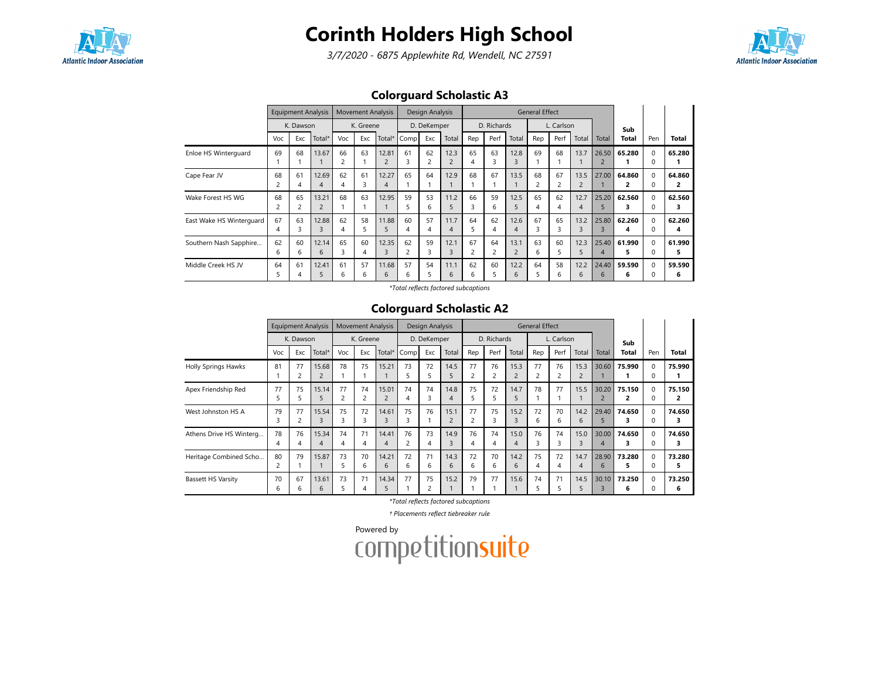

3/7/2020 - 6875 Applewhite Rd, Wendell, NC 27591



## Colorguard Scholastic A3

|                          |         | <b>Equipment Analysis</b> |                         |                      | <b>Movement Analysis</b> |                         |                               | Design Analysis |                        |         |                      |                        | <b>General Effect</b> |            |                        |                         |             |                      |              |
|--------------------------|---------|---------------------------|-------------------------|----------------------|--------------------------|-------------------------|-------------------------------|-----------------|------------------------|---------|----------------------|------------------------|-----------------------|------------|------------------------|-------------------------|-------------|----------------------|--------------|
|                          |         | K. Dawson                 |                         |                      | K. Greene                |                         |                               | D. DeKemper     |                        |         | D. Richards          |                        |                       | L. Carlson |                        |                         | Sub         |                      |              |
|                          | Voc     | Exc                       | Total*                  | Voc                  | Exc                      | Total*                  | Comp                          | Exc             | Total                  | Rep     | Perf                 | Total                  | Rep                   | Perf       | Total                  | Total                   | Total       | Pen                  | Total        |
| Enloe HS Winterguard     | 69      | 68                        | 13.67                   | 66<br>$\overline{c}$ | 63                       | 12.81                   | 61<br>3                       | 62<br>2         | 12.3<br>$\overline{2}$ | 65<br>4 | 63<br>3              | 12.8<br>3              | 69                    | 68         | 13.7                   | 26.50<br>$\overline{2}$ | 65.280      | $\Omega$<br>$\Omega$ | 65.280       |
| Cape Fear JV             | 68      | 61<br>4                   | 12.69<br>4              | 62<br>4              | 61<br>3                  | 12.27<br>4              | 65                            | 64              | 12.9                   | 68      | 67                   | 13.5                   | 68                    | 67         | 13.5<br>$\overline{c}$ | 27.00                   | 64.860      | $\Omega$<br>0        | 64.860<br>2  |
| Wake Forest HS WG        | 68      | 65<br>2                   | 13.21<br>$\overline{2}$ | 68                   | 63                       | 12.95                   | 59                            | 53<br>6         | 11.2<br>5              | 66<br>3 | 59<br>6              | 12.5<br>5              | 65<br>4               | 62<br>4    | 12.7<br>4              | 25.20<br>5.             | 62.560      | $\Omega$<br>$\Omega$ | 62.560<br>з  |
| East Wake HS Winterguard | 67<br>4 | 63<br>3                   | 12.88<br>3              | 62<br>4              | 58<br>5                  | 11.88                   | 60<br>4                       | 57<br>4         | 11.7<br>4              | 64<br>5 | 62<br>4              | 12.6<br>$\overline{4}$ | 67<br>3               | 65         | 13.2<br>3              | 25.80<br>$\overline{3}$ | 62.260<br>4 | $\Omega$<br>0        | 62.260<br>4  |
| Southern Nash Sapphire   | 62<br>6 | 60<br>6                   | 12.14<br>6              | 65<br>3              | 60<br>4                  | 12.35<br>$\overline{3}$ | 62<br>$\overline{\mathbf{c}}$ | 59<br>3         | 12.1<br>3              | 67<br>2 | 64<br>$\overline{c}$ | 13.1<br>$\overline{c}$ | 63<br>6               | 60         | 12.3<br>5              | 25.40<br>$\overline{4}$ | 61.990<br>5 | $\Omega$<br>$\Omega$ | 61.990<br>5. |
| Middle Creek HS JV       | 64      | 61                        | 12.41<br>5              | 61<br>6              | 57<br>6                  | 11.68<br>6              | 57<br>6                       | 54<br>5         | 11.1<br>6              | 62<br>6 | 60<br>5              | 12.2<br>6              | 64                    | 58<br>6    | 12.2<br>6              | 24.40<br>6              | 59.590<br>6 | $\Omega$             | 59.590<br>6  |

\*Total reflects factored subcaptions

#### Colorguard Scholastic A2

|                           |         | <b>Equipment Analysis</b> |                         |         | <b>Movement Analysis</b> |            |         | Design Analysis               |                        |         |             |           | <b>General Effect</b> |            |                        |            |             |               |              |
|---------------------------|---------|---------------------------|-------------------------|---------|--------------------------|------------|---------|-------------------------------|------------------------|---------|-------------|-----------|-----------------------|------------|------------------------|------------|-------------|---------------|--------------|
|                           |         | K. Dawson                 |                         |         | K. Greene                |            |         | D. DeKemper                   |                        |         | D. Richards |           |                       | L. Carlson |                        |            | Sub         |               |              |
|                           | Voc     | Exc                       | Total*                  | Voc     | Exc                      | Total*     | Comp    | Exc                           | Total                  | Rep     | Perf        | Total     | Rep                   | Perf       | Total                  | Total      | Total       | Pen           | <b>Total</b> |
| Holly Springs Hawks       | 81      | 77                        | 15.68<br>$\overline{2}$ | 78      | 75                       | 15.21      | 73      | 72<br>5                       | 14.5<br>5              | 77<br>2 | 76          | 15.3      | 77<br>2               | 76         | 15.3<br>$\overline{2}$ | 30.60      | 75.990      | $\Omega$<br>0 | 75.990       |
| Apex Friendship Red       | 77      | 75                        | 15.14<br>5              | 77<br>2 | 74<br>2                  | 15.01      | 74<br>4 | 74<br>3                       | 14.8<br>4              | 75<br>5 | 72          | 14.7      | 78                    | 77         | 15.5                   | 30.20      | 75.150      | $\Omega$<br>0 | 75.150       |
| West Johnston HS A        | 79      | 77                        | 15.54<br>3              | 75<br>3 | 72<br>3                  | 14.61<br>3 | 75      | 76                            | 15.1<br>$\overline{2}$ | 77<br>2 | 75<br>3     | 15.2      | 72<br>6               | 70<br>6    | 14.2<br>6              | 29.40<br>5 | 74.650      | $\Omega$<br>0 | 74.650<br>3  |
| Athens Drive HS Winterg   | 78<br>4 | 76                        | 15.34<br>4              | 74<br>4 | 71<br>4                  | 14.41      | 76      | 73<br>4                       | 14.9<br>3              | 76<br>4 | 74          | 15.0<br>4 | 76<br>3               | 74         | 15.0<br>3              | 30.00<br>4 | 74.650      | $\Omega$<br>0 | 74.650       |
| Heritage Combined Scho    | 80      | 79                        | 15.87                   | 73<br>5 | 70<br>6                  | 14.21<br>6 | 72<br>6 | 71<br>6                       | 14.3<br>6              | 72<br>6 | 70<br>6     | 14.2<br>6 | 75<br>4               | 72<br>4    | 14.7<br>$\overline{4}$ | 28.90<br>6 | 73.280<br>ь | $\Omega$<br>0 | 73.280       |
| <b>Bassett HS Varsity</b> | 70<br>6 | 67<br>h                   | 13.61<br>6              | 73      | 71<br>$\overline{4}$     | 14.34<br>5 | 77      | 75<br>$\overline{\mathbf{c}}$ | 15.2                   | 79      | 77          | 15.6      | 74<br>5               | 71         | 14.5                   | 30.10<br>3 | 73.250<br>6 | $\Omega$      | 73.250<br>6  |

\*Total reflects factored subcaptions

† Placements reflect tiebreaker rule

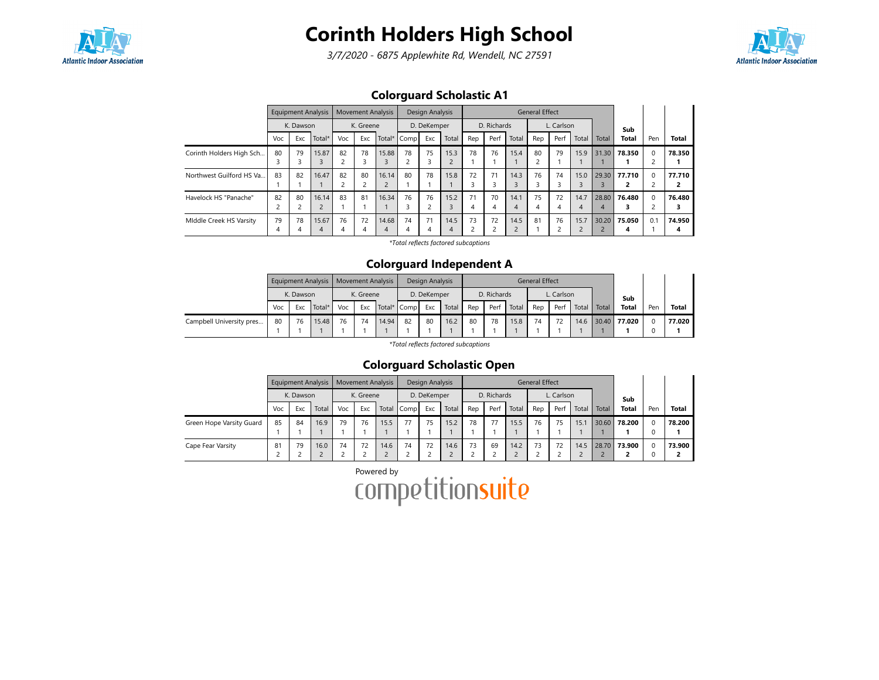

3/7/2020 - 6875 Applewhite Rd, Wendell, NC 27591



## Colorguard Scholastic A1

|                          | <b>Equipment Analysis</b> |     |                         | <b>Movement Analysis</b> |         |             | Design Analysis |                      |             | <b>General Effect</b>         |         |            |         |      |           |            |              |          |              |
|--------------------------|---------------------------|-----|-------------------------|--------------------------|---------|-------------|-----------------|----------------------|-------------|-------------------------------|---------|------------|---------|------|-----------|------------|--------------|----------|--------------|
|                          | K. Dawson                 |     | K. Greene               |                          |         | D. DeKemper |                 |                      | D. Richards |                               |         | L. Carlson |         |      |           | Sub        |              |          |              |
|                          | Voc                       | Exc | Total*                  | Voc                      | Exc     | Total*      | Comp            | Exc                  | Total       | Rep                           | Perf    | Total      | Rep     | Perf | Total     | Total      | <b>Total</b> | Pen      | <b>Total</b> |
| Corinth Holders High Sch | 80                        | 79  | 15.87                   | 82                       | 78<br>3 | 15.88       | 78              | 75<br>3              | 15.3        | 78                            | 76      | 15.4       | 80      | 79   | 15.9      | 31.30      | 78.350       |          | 78.350       |
| Northwest Guilford HS Va | 83                        | 82  | 16.47                   | 82                       | 80      | 16.14       | 80              | 78                   | 15.8        | 72<br>3                       | 71      | 14.3       | 76      | 74   | 15.0      | 29.30      | 77.710       | $\Omega$ | 77.710<br>2  |
| Havelock HS "Panache"    | 82                        | 80  | 16.14<br>$\overline{2}$ | 83                       | 81      | 16.34       | 76              | 76<br>$\overline{c}$ | 15.2        | 71<br>4                       | 70<br>4 | 14.1       | 75<br>4 | 72   | 14.7<br>4 | 28.80<br>4 | 76.480       |          | 76.480<br>3  |
| Middle Creek HS Varsity  | 79<br>4                   | 78  | 15.67<br>4              | 76<br>4                  | 72<br>4 | 14.68<br>4  | 74<br>4         | 71<br>4              | 14.5<br>4   | 73<br>$\overline{\mathbf{c}}$ | 72      | 14.5       | 81      | 76   | 15.7      | 30.20      | 75.050       | 0.1      | 74.950<br>4  |

\*Total reflects factored subcaptions

#### Colorguard Independent A

|                          |           |     |        | Equipment Analysis   Movement Analysis |     |             | Design Analysis |     |       | <b>General Effect</b> |      |       |            |      |       |       |              |     |              |
|--------------------------|-----------|-----|--------|----------------------------------------|-----|-------------|-----------------|-----|-------|-----------------------|------|-------|------------|------|-------|-------|--------------|-----|--------------|
|                          | K. Dawson |     |        | K. Greene                              |     |             | D. DeKemper     |     |       | D. Richards           |      |       | L. Carlson |      |       |       | Sub          |     |              |
|                          | Voc       | Exc | Total* | Voc                                    | Exc | Total* Comp |                 | Exc | Total | Rep                   | Perf | Total | Rep        | Perf | Total | Total | <b>Total</b> | Pen | <b>Total</b> |
| Campbell University pres | 80        | 76  | 15.48  | 76                                     | 74  | 14.94       | 82              | 80  | 16.2  | 80                    | 78   | 15.8  | 74         |      | 14.6  |       | 30.40 77.020 |     | 77.020       |

\*Total reflects factored subcaptions

### Colorguard Scholastic Open

|                          | <b>Equipment Analysis</b> |     |           | <b>Movement Analysis</b> |     |             | Design Analysis |     |             | <b>General Effect</b> |      |            |     |      |       |       |              |     |              |
|--------------------------|---------------------------|-----|-----------|--------------------------|-----|-------------|-----------------|-----|-------------|-----------------------|------|------------|-----|------|-------|-------|--------------|-----|--------------|
|                          | K. Dawson                 |     | K. Greene |                          |     | D. DeKemper |                 |     | D. Richards |                       |      | L. Carlson |     |      |       | Sub   |              |     |              |
|                          | Voc                       | Exc | Total     | Voc                      | Exc |             | Total Comp      | Exc | Total       | Rep                   | Perf | Total      | Rep | Perf | Total | Total | <b>Total</b> | Pen | <b>Total</b> |
| Green Hope Varsity Guard | 85                        | 84  | 16.9      | 79                       | 76  | 15.5        | 77              | 75  | 15.2        | 78                    | 77   | 15.5       | 76  | 75   | 15.1  |       | 30.60 78.200 |     | 78.200       |
|                          |                           |     |           |                          |     |             |                 |     |             |                       |      |            |     |      |       |       |              |     |              |
| Cape Fear Varsity        | 81                        | 79  | 16.0      | 74                       | 72  | 14.6        | 74              | 72  | 14.6        | 73                    | 69   | 14.2       | 73  | 72   | 14.5  | 28.70 | 73.900       |     | 73.900       |
|                          |                           |     |           |                          |     |             |                 |     |             |                       |      |            |     |      |       |       |              |     |              |